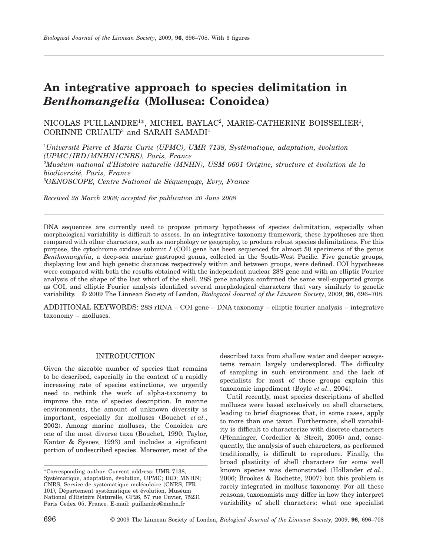# **An integrative approach to species delimitation in** *Benthomangelia* **(Mollusca: Conoidea)**

 $\rm NICOLAS$   $\rm PULLANDRE^{1*},$   $\rm MICHEL$   $\rm BAYLAC^{2},$   $\rm MARIE-CATHERINE$   $\rm BOISSELIER^{1},$ CORINNE CRUAUD3 and SARAH SAMADI1

1 *Université Pierre et Marie Curie (UPMC), UMR 7138, Systématique, adaptation, évolution (UPMC/IRD/MNHN/CNRS), Paris, France* 2 *Muséum national d'Histoire naturelle (MNHN), USM 0601 Origine, structure et évolution de la biodiversité, Paris, France* 3 *GENOSCOPE, Centre National de Séquençage, Evry, France*

*Received 28 March 2008; accepted for publication 20 June 2008*

DNA sequences are currently used to propose primary hypotheses of species delimitation, especially when morphological variability is difficult to assess. In an integrative taxonomy framework, these hypotheses are then compared with other characters, such as morphology or geography, to produce robust species delimitations. For this purpose, the cytochrome oxidase subunit *I* (COI) gene has been sequenced for almost 50 specimens of the genus *Benthomangelia*, a deep-sea marine gastropod genus, collected in the South-West Pacific. Five genetic groups, displaying low and high genetic distances respectively within and between groups, were defined. COI hypotheses were compared with both the results obtained with the independent nuclear 28S gene and with an elliptic Fourier analysis of the shape of the last whorl of the shell. 28S gene analysis confirmed the same well-supported groups as COI, and elliptic Fourier analysis identified several morphological characters that vary similarly to genetic variability. © 2009 The Linnean Society of London, *Biological Journal of the Linnean Society*, 2009, **96**, 696–708.

ADDITIONAL KEYWORDS: 28S rRNA – COI gene – DNA taxonomy – elliptic fourier analysis – integrative taxonomy – molluscs.

# INTRODUCTION

Given the sizeable number of species that remains to be described, especially in the context of a rapidly increasing rate of species extinctions, we urgently need to rethink the work of alpha-taxonomy to improve the rate of species description. In marine environments, the amount of unknown diversity is important, especially for molluscs (Bouchet *et al.*, 2002). Among marine molluscs, the Conoidea are one of the most diverse taxa (Bouchet, 1990; Taylor, Kantor & Sysoev, 1993) and includes a significant portion of undescribed species. Moreover, most of the described taxa from shallow water and deeper ecosystems remain largely underexplored. The difficulty of sampling in such environment and the lack of specialists for most of these groups explain this taxonomic impediment (Boyle *et al.*, 2004).

Until recently, most species descriptions of shelled molluscs were based exclusively on shell characters, leading to brief diagnoses that, in some cases, apply to more than one taxon. Furthermore, shell variability is difficult to characterize with discrete characters (Pfenninger, Cordellier & Streit, 2006) and, consequently, the analysis of such characters, as performed traditionally, is difficult to reproduce. Finally, the broad plasticity of shell characters for some well known species was demonstrated (Hollander *et al.*, 2006; Brookes & Rochette, 2007) but this problem is rarely integrated in mollusc taxonomy. For all these reasons, taxonomists may differ in how they interpret variability of shell characters: what one specialist

<sup>\*</sup>Corresponding author. Current address: UMR 7138, Systématique, adaptation, évolution, UPMC; IRD; MNHN; CNRS, Service de systématique moléculaire (CNRS, IFR 101), Département systématique et évolution, Muséum National d'Histoire Naturelle, CP26, 57 rue Cuvier, 75231 Paris Cedex 05, France. E-mail: [puillandre@mnhn.fr](mailto:puillandre@mnhn.fr)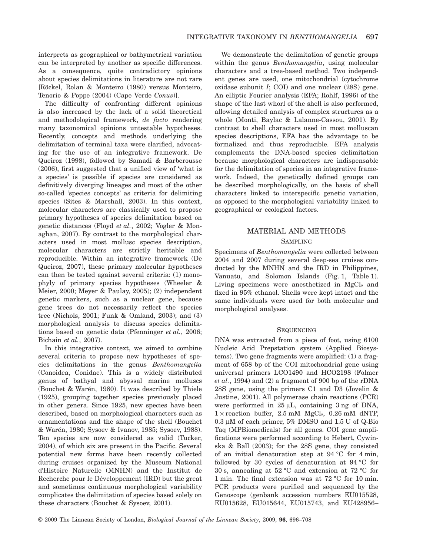interprets as geographical or bathymetrical variation can be interpreted by another as specific differences. As a consequence, quite contradictory opinions about species delimitations in literature are not rare [Röckel, Rolan & Monteiro (1980) versus Monteiro, Tenorio & Poppe (2004) (Cape Verde *Conus*)].

The difficulty of confronting different opinions is also increased by the lack of a solid theoretical and methodological framework, *de facto* rendering many taxonomical opinions untestable hypotheses. Recently, concepts and methods underlying the delimitation of terminal taxa were clarified, advocating for the use of an integrative framework. De Queiroz (1998), followed by Samadi & Barberousse (2006), first suggested that a unified view of 'what is a species' is possible if species are considered as definitively diverging lineages and most of the other so-called 'species concepts' as criteria for delimiting species (Sites & Marshall, 2003). In this context, molecular characters are classically used to propose primary hypotheses of species delimitation based on genetic distances (Floyd *et al.*, 2002; Vogler & Monaghan, 2007). By contrast to the morphological characters used in most mollusc species description, molecular characters are strictly heritable and reproducible. Within an integrative framework (De Queiroz, 2007), these primary molecular hypotheses can then be tested against several criteria: (1) monophyly of primary species hypotheses (Wheeler & Meier, 2000; Meyer & Paulay, 2005); (2) independent genetic markers, such as a nuclear gene, because gene trees do not necessarily reflect the species tree (Nichols, 2001; Funk & Omland, 2003); and (3) morphological analysis to discuss species delimitations based on genetic data (Pfenninger *et al.*, 2006; Bichain *et al.*, 2007).

In this integrative context, we aimed to combine several criteria to propose new hypotheses of species delimitations in the genus *Benthomangelia* (Conoidea, Conidae). This is a widely distributed genus of bathyal and abyssal marine molluscs (Bouchet & Warén, 1980). It was described by Thiele (1925), grouping together species previously placed in other genera. Since 1925, new species have been described, based on morphological characters such as ornamentations and the shape of the shell (Bouchet & Warén, 1980; Sysoev & Ivanov, 1985; Sysoev, 1988). Ten species are now considered as valid (Tucker, 2004), of which six are present in the Pacific. Several potential new forms have been recently collected during cruises organized by the Museum National d'Histoire Naturelle (MNHN) and the Institut de Recherche pour le Développement (IRD) but the great and sometimes continuous morphological variability complicates the delimitation of species based solely on these characters (Bouchet & Sysoev, 2001).

We demonstrate the delimitation of genetic groups within the genus *Benthomangelia*, using molecular characters and a tree-based method. Two independent genes are used, one mitochondrial (cytochrome oxidase subunit *I*; COI) and one nuclear (28S) gene. An elliptic Fourier analysis (EFA; Rohlf, 1996) of the shape of the last whorl of the shell is also performed, allowing detailed analysis of complex structures as a whole (Monti, Baylac & Lalanne-Cassou, 2001). By contrast to shell characters used in most molluscan species descriptions, EFA has the advantage to be formalized and thus reproducible. EFA analysis complements the DNA-based species delimitation because morphological characters are indispensable for the delimitation of species in an integrative framework. Indeed, the genetically defined groups can be described morphologically, on the basis of shell characters linked to interspecific genetic variation, as opposed to the morphological variability linked to geographical or ecological factors.

# MATERIAL AND METHODS

## SAMPLING

Specimens of *Benthomangelia* were collected between 2004 and 2007 during several deep-sea cruises conducted by the MNHN and the IRD in Philippines, Vanuatu, and Solomon Islands (Fig. 1, Table 1). Living specimens were anesthetized in  $MgCl<sub>2</sub>$  and fixed in 95% ethanol. Shells were kept intact and the same individuals were used for both molecular and morphological analyses.

# **SEQUENCING**

DNA was extracted from a piece of foot, using 6100 Nucleic Acid Prepstation system (Applied Biosystems). Two gene fragments were amplified: (1) a fragment of 658 bp of the COI mitochondrial gene using universal primers LCO1490 and HCO2198 (Folmer *et al.*, 1994) and (2) a fragment of 900 bp of the rDNA 28S gene, using the primers C1 and D3 (Jovelin & Justine, 2001). All polymerase chain reactions (PCR) were performed in  $25 \mu L$ , containing 3 ng of DNA,  $1 \times$  reaction buffer, 2.5 mM MgCl<sub>2</sub>, 0.26 mM dNTP,  $0.3 \mu M$  of each primer, 5% DMSO and 1.5 U of Q-Bio Taq (MPBiomedicals) for all genes. COI gene amplifications were performed according to Hebert, Cywinska & Ball (2003); for the 28S gene, they consisted of an initial denaturation step at 94 °C for 4 min, followed by 30 cycles of denaturation at 94 °C for 30 s, annealing at 52 °C and extension at 72 °C for 1 min. The final extension was at 72 °C for 10 min. PCR products were purified and sequenced by the Genoscope (genbank accession numbers EU015528, EU015628, EU015644, EU015743, and EU428956–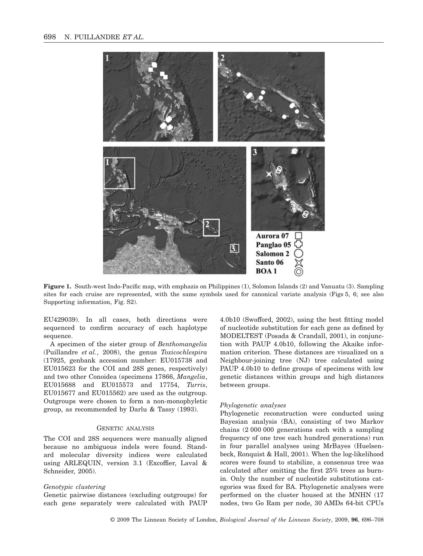

**Figure 1.** South-west Indo-Pacific map, with emphazis on Philippines (1), Solomon Islands (2) and Vanuatu (3). Sampling sites for each cruise are represented, with the same symbols used for canonical variate analysis (Figs 5, 6; see also Supporting information, Fig. S2).

EU429039). In all cases, both directions were sequenced to confirm accuracy of each haplotype sequence.

A specimen of the sister group of *Benthomangelia* (Puillandre *et al.*, 2008), the genus *Toxicochlespira* (17925, genbank accession number: EU015738 and EU015623 for the COI and 28S genes, respectively) and two other Conoidea (specimens 17866, *Mangelia*, EU015688 and EU015573 and 17754, *Turris*, EU015677 and EU015562) are used as the outgroup. Outgroups were chosen to form a non-monophyletic group, as recommended by Darlu & Tassy (1993).

#### GENETIC ANALYSIS

The COI and 28S sequences were manually aligned because no ambiguous indels were found. Standard molecular diversity indices were calculated using ARLEQUIN, version 3.1 (Excoffier, Laval & Schneider, 2005).

#### *Genotypic clustering*

Genetic pairwise distances (excluding outgroups) for each gene separately were calculated with PAUP 4.0b10 (Swofford, 2002), using the best fitting model of nucleotide substitution for each gene as defined by MODELTEST (Posada & Crandall, 2001), in conjunction with PAUP 4.0b10, following the Akaike information criterion. These distances are visualized on a Neighbour-joining tree (NJ) tree calculated using PAUP 4.0b10 to define groups of specimens with low genetic distances within groups and high distances between groups.

## *Phylogenetic analyses*

Phylogenetic reconstruction were conducted using Bayesian analysis (BA), consisting of two Markov chains (2 000 000 generations each with a sampling frequency of one tree each hundred generations) run in four parallel analyses using MrBayes (Huelsenbeck, Ronquist & Hall, 2001). When the log-likelihood scores were found to stabilize, a consensus tree was calculated after omitting the first 25% trees as burnin. Only the number of nucleotide substitutions categories was fixed for BA. Phylogenetic analyses were performed on the cluster housed at the MNHN (17 nodes, two Go Ram per node, 30 AMDs 64-bit CPUs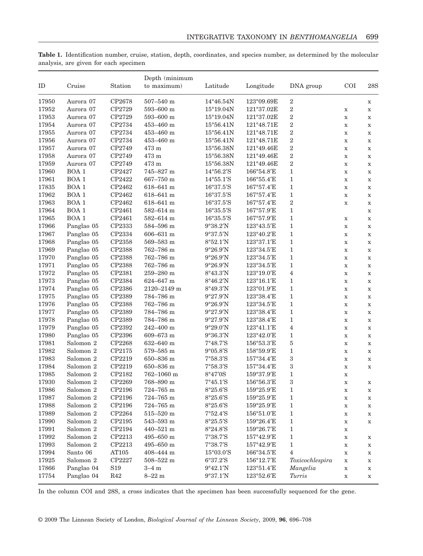| <b>Table 1.</b> Identification number, cruise, station, depth, coordinates, and species number, as determined by the molecular |  |  |  |  |  |  |  |
|--------------------------------------------------------------------------------------------------------------------------------|--|--|--|--|--|--|--|
| analysis, are given for each specimen                                                                                          |  |  |  |  |  |  |  |

| ID    | Cruise               | Station         | Depth (minimum<br>to maximum) | DNA group                           | <b>COI</b>                           | 28S              |             |                            |  |
|-------|----------------------|-----------------|-------------------------------|-------------------------------------|--------------------------------------|------------------|-------------|----------------------------|--|
| 17950 | Aurora 07            | CP2678          | $507 - 540$ m                 | 14°46.54N                           | Longitude<br>123°09.69E              | $\boldsymbol{2}$ |             |                            |  |
| 17952 | Aurora 07            | CP2729          | $593 - 600$ m                 | 15°19.04N                           | 121°37.02E                           | $\,2$            | $\mathbf X$ | $\mathbf X$<br>$\mathbf X$ |  |
| 17953 | Aurora 07            | CP2729          | $593 - 600$ m                 | $15^{\circ}19.04N$                  | 121°37.02E                           | $\boldsymbol{2}$ | $\mathbf X$ | $\mathbf X$                |  |
| 17954 | Aurora 07            | CP2734          | $453\text{--}460$ m           | $15^{\circ}56.41N$                  | 121°48.71E                           | $\,2$            | $\mathbf X$ |                            |  |
| 17955 | Aurora 07            | CP2734          | $453\text{--}460$ m           | $15^{\circ}56.41N$                  | 121°48.71E                           | $\boldsymbol{2}$ |             | $\mathbf X$                |  |
| 17956 | Aurora 07            | CP2734          | 453-460 m                     | $15^{\circ}56.41N$                  | 121°48.71E                           | $\,2$            | $\mathbf X$ | $\mathbf X$                |  |
| 17957 | Aurora 07            | CP2749          | 473 m                         | 15°56.38N                           | 121°49.46E                           | $\,2$            | $\mathbf X$ | $\mathbf X$                |  |
|       | Aurora 07            | CP2749          |                               | $15^{\circ}56.38\mathrm{N}$         | 121°49.46E                           | $\,2$            | $\mathbf X$ | $\mathbf X$                |  |
| 17958 | Aurora 07            | CP2749          | 473 m<br>473 m                |                                     |                                      | $\,2$            | $\mathbf X$ | $\mathbf X$                |  |
| 17959 |                      |                 |                               | $15^{\circ}56.38N$                  | 121°49.46E                           |                  | $\mathbf X$ | $\mathbf X$                |  |
| 17960 | BOA <sub>1</sub>     | CP2427          | 745-827 m                     | $14^{\circ}56.2^{\prime}S$          | 166°54.8'E                           | $\mathbf{1}$     | $\mathbf X$ | $\mathbf X$                |  |
| 17961 | BOA <sub>1</sub>     | CP2422          | $667 - 750$ m                 | $14^{\circ}55.1^{\prime}S$          | 166°55.4'E                           | $\mathbf{1}$     | $\mathbf X$ | $\mathbf X$                |  |
| 17835 | BOA <sub>1</sub>     | $\text{CP}2462$ | $618 - 641$ m                 | 16°37.5'S                           | 167°57.4'E                           | $\mathbf{1}$     | $\mathbf X$ | $\mathbf X$                |  |
| 17962 | BOA <sub>1</sub>     | CP2462          | $618 - 641$ m                 | 16°37.5'S                           | 167°57.4'E                           | $\mathbf 1$      | $\mathbf X$ | $\mathbf X$                |  |
| 17963 | BOA <sub>1</sub>     | CP2462          | 618-641 m                     | $16^{\circ}37.5^{\prime}\mathrm{S}$ | 167°57.4'E                           | $\boldsymbol{2}$ | $\mathbf X$ | $\mathbf X$                |  |
| 17964 | BOA <sub>1</sub>     | CP2461          | 582-614 m                     | 16°35.5'S                           | 167°57.9'E                           | $\mathbf{1}$     |             | $\mathbf X$                |  |
| 17965 | BOA <sub>1</sub>     | CP2461          | 582-614 m                     | 16°35.5'S                           | 167°57.9'E                           | $\mathbf{1}$     | $\mathbf X$ | $\mathbf X$                |  |
| 17966 | Panglao 05           | CP2333          | $584 - 596$ m                 | $9^{\circ}38.2'N$                   | 123°43.5'E                           | $\mathbf{1}$     | $\mathbf X$ | $\mathbf X$                |  |
| 17967 | Panglao 05           | CP2334          | $606 - 631$ m                 | 9°37.5'N                            | 123°40.2'E                           | $\mathbf{1}$     | $\mathbf X$ | $\mathbf X$                |  |
| 17968 | Panglao 05           | CP2358          | $569 - 583$ m                 | 8°52.1'N                            | 123°37.1'E                           | $\mathbf 1$      | $\mathbf X$ | $\mathbf X$                |  |
| 17969 | Panglao 05           | CP2388          | 762-786 m                     | 9°26.9'N                            | 123°34.5'E                           | $\mathbf{1}$     | $\mathbf X$ | $\mathbf X$                |  |
| 17970 | Panglao 05           | CP2388          | 762-786 m                     | 9°26.9'N                            | 123°34.5'E                           | $\mathbf{1}$     | $\mathbf X$ | $\mathbf X$                |  |
| 17971 | Panglao 05           | CP2388          | 762-786 m                     | 9°26.9'N                            | 123°34.5'E                           | $\mathbf{1}$     | $\mathbf X$ | $\mathbf X$                |  |
| 17972 | Panglao 05           | CP2381          | $259\text{--}280$ m           | 8°43.3'N                            | 123°19.0'E                           | $\overline{4}$   | $\mathbf X$ | $\mathbf X$                |  |
| 17973 | Panglao 05           | CP2384          | 624-647 m                     | 8°46.2'N                            | 123°16.1'E                           | $\mathbf{1}$     | $\mathbf x$ | $\mathbf X$                |  |
| 17974 | Panglao 05           | CP2386          | 2120-2149 m                   | 8°49.3'N                            | 123°01.9'E                           | $\mathbf{1}$     | $\mathbf X$ | $\mathbf X$                |  |
| 17975 | Panglao 05           | CP2389          | 784-786 m                     | 9°27.9'N                            | 123°38.4'E                           | $\mathbf{1}$     | $\mathbf X$ | $\mathbf X$                |  |
| 17976 | Panglao 05           | CP2388          | 762-786 m                     | 9°26.9'N                            | 123°34.5'E                           | $\mathbf{1}$     | $\mathbf X$ | $\mathbf X$                |  |
| 17977 | Panglao 05           | CP2389          | 784-786 m                     | 9°27.9'N                            | 123°38.4'E                           | $\mathbf{1}$     | $\mathbf X$ | $\mathbf X$                |  |
| 17978 | Panglao 05           | CP2389          | 784-786 m                     | 9°27.9'N                            | 123°38.4'E                           | $\mathbf{1}$     | $\mathbf X$ | $\mathbf X$                |  |
| 17979 | Panglao 05           | CP2392          | $242 - 400$ m                 | 9°29.0'N                            | 123°41.1'E                           | $\overline{4}$   | $\mathbf X$ | $\mathbf X$                |  |
| 17980 | Panglao 05           | CP2396          | 609-673 m                     | 9°36.3'N                            | 123°42.0'E                           | $\mathbf{1}$     | $\mathbf X$ | $\mathbf X$                |  |
| 17981 | Salomon 2            | CP2268          | 632-640 m                     | $7^{\circ}48.7^{\prime}S$           | 156°53.3'E                           | $\bf 5$          | $\mathbf X$ | $\mathbf X$                |  |
| 17982 | Salomon <sub>2</sub> | CP2175          | $579 - 585$ m                 | $9^{\circ}05.8^{\prime}S$           | 158°59.9'E                           | $\mathbf{1}$     | $\mathbf X$ | $\mathbf X$                |  |
| 17983 | Salomon 2            | CP2219          | 650-836 m                     | $7°58.3'$ S                         | 157°34.4'E                           | 3                | $\mathbf X$ | $\mathbf X$                |  |
| 17984 | Salomon 2            | CP2219          | 650-836 m                     | $7°58.3'$ S                         | 157°34.4'E                           | $\,3$            | $\mathbf X$ | $\mathbf X$                |  |
| 17985 | Salomon 2            | CP2182          | 762-1060 m                    | 8°47'0S                             | 159°37.9'E                           | $\mathbf{1}$     | $\mathbf X$ |                            |  |
| 17930 | Salomon 2            | CP2269          | 768-890 m                     | $7^{\circ}45.1^{\prime}S$           | 156°56.3'E                           | 3                | $\mathbf X$ | $\mathbf X$                |  |
| 17986 | Salomon 2            | CP2196          | $724 - 765$ m                 | 8°25.6'S                            | $159^{\circ}25.9^{\prime}\mathrm{E}$ | 1                | $\mathbf X$ | $\mathbf x$                |  |
| 17987 | Salomon <sub>2</sub> | CP2196          | 724-765 m                     | $8°25.6'$ S                         | 159°25.9'E                           | $\mathbf{1}$     | $\mathbf X$ | x                          |  |
| 17988 | Salomon 2            | CP2196          | 724–765 m                     | 8°25.6'S                            | $159^{\circ}25.9^{\prime}E$          | 1                | $\mathbf X$ | X                          |  |
| 17989 | Salomon 2            | CP2264          | $515 - 520$ m                 | $7°52.4'$ S                         | 156°51.0'E                           | $\mathbf{1}$     | $\mathbf X$ | $\mathbf X$                |  |
| 17990 | Salomon 2            | CP2195          | $543 - 593$ m                 | 8°25.5'S                            | 159°26.4'E                           | $\mathbf{1}$     | $\mathbf X$ | $\mathbf X$                |  |
| 17991 | Salomon 2            | CP2194          | 440-521 m                     | 8°24.8'S                            | 159°26.7'E                           | $\mathbf{1}$     | $\mathbf X$ |                            |  |
| 17992 | Salomon 2            | CP2213          | $495 - 650$ m                 | 7°38.7'S                            | 157°42.9'E                           | 1                | $\mathbf X$ | $\mathbf X$                |  |
| 17993 | Salomon 2            | CP2213          | $495 - 650$ m                 | 7°38.7'S                            | 157°42.9'E                           | 1                | $\mathbf X$ | $\mathbf X$                |  |
| 17994 | Santo 06             | AT105           | 408-444 m                     | $15^{\circ}03.0^{\prime}S$          | 166°34.5'E                           | 4                | $\mathbf X$ | X                          |  |
| 17925 | Salomon 2            | CP2227          | $508\text{--}522$ m           | 6°37.2'S                            | 156°12.7'E                           | Toxicochlespira  | $\mathbf X$ | X                          |  |
| 17866 | Panglao 04           | S19             | $3 - 4 \text{ m}$             | 9°42.1'N                            | 123°51.4'E                           | Mangelia         | $\mathbf X$ | $\mathbf X$                |  |
| 17754 | Panglao 04           | $\rm R42$       | $8 - 22$ m                    | $9°37.1'N$                          | 123°52.6'E                           | Turris           | $\mathbf X$ | $\mathbf X$                |  |

In the column COI and 28S, a cross indicates that the specimen has been successfully sequenced for the gene.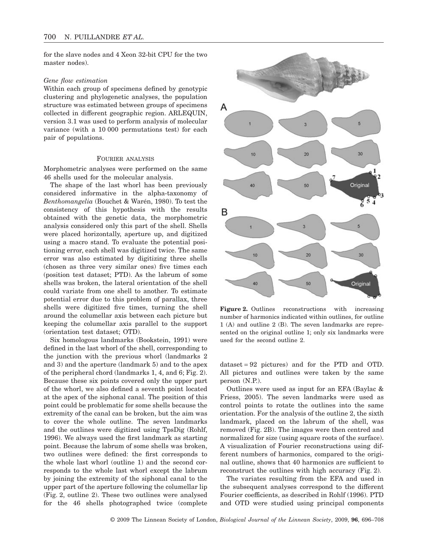for the slave nodes and 4 Xeon 32-bit CPU for the two master nodes).

#### *Gene flow estimation*

Within each group of specimens defined by genotypic clustering and phylogenetic analyses, the population structure was estimated between groups of specimens collected in different geographic region. ARLEQUIN, version 3.1 was used to perform analysis of molecular variance (with a 10 000 permutations test) for each pair of populations.

## FOURIER ANALYSIS

Morphometric analyses were performed on the same 46 shells used for the molecular analysis.

The shape of the last whorl has been previously considered informative in the alpha-taxonomy of *Benthomangelia* (Bouchet & Warén, 1980). To test the consistency of this hypothesis with the results obtained with the genetic data, the morphometric analysis considered only this part of the shell. Shells were placed horizontally, aperture up, and digitized using a macro stand. To evaluate the potential positioning error, each shell was digitized twice. The same error was also estimated by digitizing three shells (chosen as three very similar ones) five times each (position test dataset; PTD). As the labrum of some shells was broken, the lateral orientation of the shell could variate from one shell to another. To estimate potential error due to this problem of parallax, three shells were digitized five times, turning the shell around the columellar axis between each picture but keeping the columellar axis parallel to the support (orientation test dataset; OTD).

Six homologous landmarks (Bookstein, 1991) were defined in the last whorl of the shell, corresponding to the junction with the previous whorl (landmarks 2 and 3) and the aperture (landmark 5) and to the apex of the peripheral chord (landmarks 1, 4, and 6; Fig. 2). Because these six points covered only the upper part of the whorl, we also defined a seventh point located at the apex of the siphonal canal. The position of this point could be problematic for some shells because the extremity of the canal can be broken, but the aim was to cover the whole outline. The seven landmarks and the outlines were digitized using TpsDig (Rohlf, 1996). We always used the first landmark as starting point. Because the labrum of some shells was broken, two outlines were defined: the first corresponds to the whole last whorl (outline 1) and the second corresponds to the whole last whorl except the labrum by joining the extremity of the siphonal canal to the upper part of the aperture following the columellar lip (Fig. 2, outline 2). These two outlines were analysed for the 46 shells photographed twice (complete



**Figure 2.** Outlines reconstructions with increasing number of harmonics indicated within outlines, for outline 1 (A) and outline 2 (B). The seven landmarks are represented on the original outline 1; only six landmarks were used for the second outline 2.

dataset = 92 pictures) and for the PTD and OTD. All pictures and outlines were taken by the same person (N.P.).

Outlines were used as input for an EFA (Baylac & Friess, 2005). The seven landmarks were used as control points to rotate the outlines into the same orientation. For the analysis of the outline 2, the sixth landmark, placed on the labrum of the shell, was removed (Fig. 2B). The images were then centred and normalized for size (using square roots of the surface). A visualization of Fourier reconstructions using different numbers of harmonics, compared to the original outline, shows that 40 harmonics are sufficient to reconstruct the outlines with high accuracy (Fig. 2).

The variates resulting from the EFA and used in the subsequent analyses correspond to the different Fourier coefficients, as described in Rohlf (1996). PTD and OTD were studied using principal components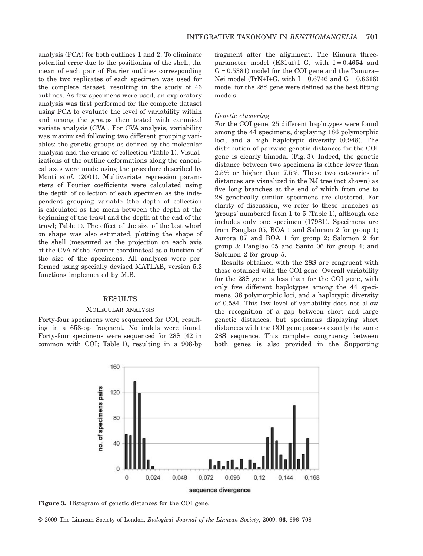analysis (PCA) for both outlines 1 and 2. To eliminate potential error due to the positioning of the shell, the mean of each pair of Fourier outlines corresponding to the two replicates of each specimen was used for the complete dataset, resulting in the study of 46 outlines. As few specimens were used, an exploratory analysis was first performed for the complete dataset using PCA to evaluate the level of variability within and among the groups then tested with canonical variate analysis (CVA). For CVA analysis, variability was maximized following two different grouping variables: the genetic groups as defined by the molecular analysis and the cruise of collection (Table 1). Visualizations of the outline deformations along the canonical axes were made using the procedure described by Monti *et al.* (2001). Multivariate regression parameters of Fourier coefficients were calculated using the depth of collection of each specimen as the independent grouping variable (the depth of collection is calculated as the mean between the depth at the beginning of the trawl and the depth at the end of the trawl; Table 1). The effect of the size of the last whorl on shape was also estimated, plotting the shape of the shell (measured as the projection on each axis of the CVA of the Fourier coordinates) as a function of the size of the specimens. All analyses were performed using specially devised MATLAB, version 5.2 functions implemented by M.B.

## **RESULTS**

#### MOLECULAR ANALYSIS

Forty-four specimens were sequenced for COI, resulting in a 658-bp fragment. No indels were found. Forty-four specimens were sequenced for 28S (42 in common with COI; Table 1), resulting in a 908-bp fragment after the alignment. The Kimura threeparameter model (K81uf+I+G, with  $I = 0.4654$  and  $G = 0.5381$ ) model for the COI gene and the Tamura– Nei model (TrN+I+G, with  $I = 0.6746$  and  $G = 0.6616$ ) model for the 28S gene were defined as the best fitting models.

#### *Genetic clustering*

For the COI gene, 25 different haplotypes were found among the 44 specimens, displaying 186 polymorphic loci, and a high haplotypic diversity (0.948). The distribution of pairwise genetic distances for the COI gene is clearly bimodal (Fig. 3). Indeed, the genetic distance between two specimens is either lower than 2.5% or higher than 7.5%. These two categories of distances are visualized in the NJ tree (not shown) as five long branches at the end of which from one to 28 genetically similar specimens are clustered. For clarity of discussion, we refer to these branches as 'groups' numbered from 1 to 5 (Table 1), although one includes only one specimen (17981). Specimens are from Panglao 05, BOA 1 and Salomon 2 for group 1; Aurora 07 and BOA 1 for group 2; Salomon 2 for group 3; Panglao 05 and Santo 06 for group 4; and Salomon 2 for group 5.

Results obtained with the 28S are congruent with those obtained with the COI gene. Overall variability for the 28S gene is less than for the COI gene, with only five different haplotypes among the 44 specimens, 36 polymorphic loci, and a haplotypic diversity of 0.584. This low level of variability does not allow the recognition of a gap between short and large genetic distances, but specimens displaying short distances with the COI gene possess exactly the same 28S sequence. This complete congruency between both genes is also provided in the Supporting



**Figure 3.** Histogram of genetic distances for the COI gene.

© 2009 The Linnean Society of London, *Biological Journal of the Linnean Society*, 2009, **96**, 696–708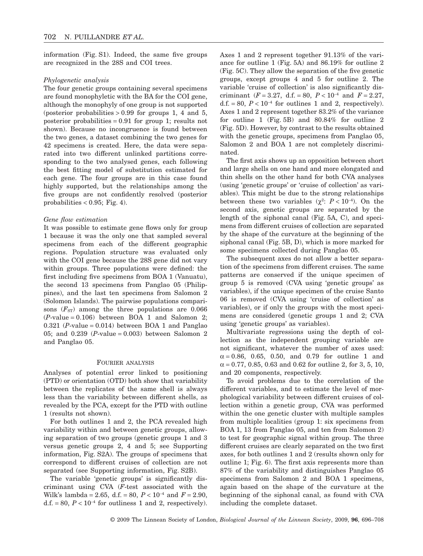information (Fig. S1). Indeed, the same five groups are recognized in the 28S and COI trees.

#### *Phylogenetic analysis*

The four genetic groups containing several specimens are found monophyletic with the BA for the COI gene, although the monophyly of one group is not supported (posterior probabilities  $> 0.99$  for groups 1, 4 and 5, posterior probabilities  $= 0.91$  for group 1; results not shown). Because no incongruence is found between the two genes, a dataset combining the two genes for 42 specimens is created. Here, the data were separated into two different unlinked partitions corresponding to the two analysed genes, each following the best fitting model of substitution estimated for each gene. The four groups are in this case found highly supported, but the relationships among the five groups are not confidently resolved (posterior probabilities  $< 0.95$ ; Fig. 4).

## *Gene flow estimation*

It was possible to estimate gene flows only for group 1 because it was the only one that sampled several specimens from each of the different geographic regions. Population structure was evaluated only with the COI gene because the 28S gene did not vary within groups. Three populations were defined: the first including five specimens from BOA 1 (Vanuatu), the second 13 specimens from Panglao 05 (Philippines), and the last ten specimens from Salomon 2 (Solomon Islands). The pairwise populations comparisons  $(F_{ST})$  among the three populations are 0.066  $(P-value = 0.106)$  between BOA 1 and Salomon 2;  $0.321$  (*P*-value = 0.014) between BOA 1 and Panglao 05; and 0.239 (*P*-value = 0.003) between Salomon 2 and Panglao 05.

#### FOURIER ANALYSIS

Analyses of potential error linked to positioning (PTD) or orientation (OTD) both show that variability between the replicates of the same shell is always less than the variability between different shells, as revealed by the PCA, except for the PTD with outline 1 (results not shown).

For both outlines 1 and 2, the PCA revealed high variability within and between genetic groups, allowing separation of two groups (genetic groups 1 and 3 versus genetic groups 2, 4 and 5; see Supporting information, Fig. S2A). The groups of specimens that correspond to different cruises of collection are not separated (see Supporting information, Fig. S2B).

The variable 'genetic groups' is significantly discriminant using CVA (*F*-test associated with the Wilk's lambda = 2.65, d.f. = 80,  $P < 10^{-4}$  and  $F = 2.90$ , d.f.  $= 80$ ,  $P < 10^{-4}$  for outliness 1 and 2, respectively). Axes 1 and 2 represent together 91.13% of the variance for outline 1 (Fig. 5A) and 86.19% for outline 2 (Fig. 5C). They allow the separation of the five genetic groups, except groups 4 and 5 for outline 2. The variable 'cruise of collection' is also significantly discriminant ( $F = 3.27$ , d.f. = 80,  $P < 10^{-4}$  and  $F = 2.27$ , d.f.  $= 80$ ,  $P < 10^{-4}$  for outlines 1 and 2, respectively). Axes 1 and 2 represent together 83.2% of the variance for outline 1 (Fig. 5B) and 80.84% for outline 2 (Fig. 5D). However, by contrast to the results obtained with the genetic groups, specimens from Panglao 05, Salomon 2 and BOA 1 are not completely discriminated.

The first axis shows up an opposition between short and large shells on one hand and more elongated and thin shells on the other hand for both CVA analyses (using 'genetic groups' or 'cruise of collection' as variables). This might be due to the strong relationships between these two variables  $(\chi^2: P < 10^{-4})$ . On the second axis, genetic groups are separated by the length of the siphonal canal (Fig. 5A, C), and specimens from different cruises of collection are separated by the shape of the curvature at the beginning of the siphonal canal (Fig. 5B, D), which is more marked for some specimens collected during Panglao 05.

The subsequent axes do not allow a better separation of the specimens from different cruises. The same patterns are conserved if the unique specimen of group 5 is removed (CVA using 'genetic groups' as variables), if the unique specimen of the cruise Santo 06 is removed (CVA using 'cruise of collection' as variables), or if only the groups with the most specimens are considered (genetic groups 1 and 2; CVA using 'genetic groups' as variables).

Multivariate regressions using the depth of collection as the independent grouping variable are not significant, whatever the number of axes used:  $\alpha = 0.86, 0.65, 0.50, \text{ and } 0.79 \text{ for outline } 1 \text{ and }$  $\alpha$  = 0.77, 0.85, 0.63 and 0.62 for outline 2, for 3, 5, 10, and 20 components, respectively.

To avoid problems due to the correlation of the different variables, and to estimate the level of morphological variability between different cruises of collection within a genetic group, CVA was performed within the one genetic cluster with multiple samples from multiple localities (group 1: six specimens from BOA 1, 13 from Panglao 05, and ten from Salomon 2) to test for geographic signal within group. The three different cruises are clearly separated on the two first axes, for both outlines 1 and 2 (results shown only for outline 1; Fig. 6). The first axis represents more than 87% of the variability and distinguishes Panglao 05 specimens from Salomon 2 and BOA 1 specimens, again based on the shape of the curvature at the beginning of the siphonal canal, as found with CVA including the complete dataset.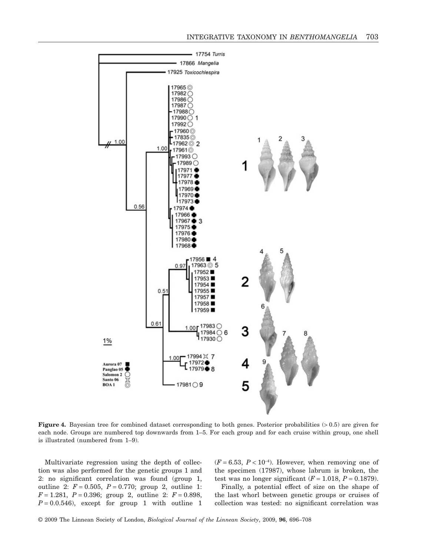

**Figure 4.** Bayesian tree for combined dataset corresponding to both genes. Posterior probabilities (>0.5) are given for each node. Groups are numbered top downwards from 1–5. For each group and for each cruise within group, one shell is illustrated (numbered from 1–9).

Multivariate regression using the depth of collection was also performed for the genetic groups 1 and 2: no significant correlation was found (group 1, outline 2:  $F = 0.505$ ,  $P = 0.770$ ; group 2, outline 1:  $F = 1.281, P = 0.396$ ; group 2, outline 2:  $F = 0.898$ ,  $P = 0.0.546$ , except for group 1 with outline 1

 $(F = 6.53, P < 10^{-4})$ . However, when removing one of the specimen (17987), whose labrum is broken, the test was no longer significant  $(F = 1.018, P = 0.1879)$ .

Finally, a potential effect of size on the shape of the last whorl between genetic groups or cruises of collection was tested: no significant correlation was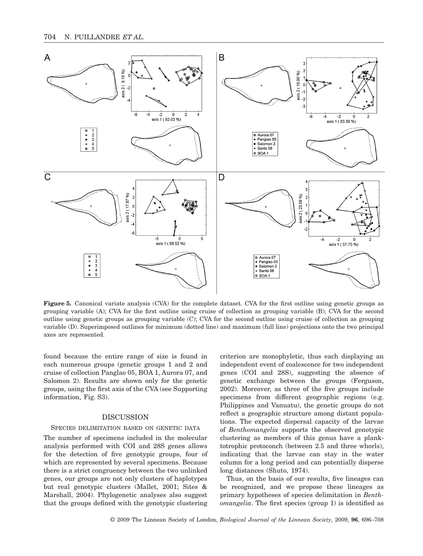

**Figure 5.** Canonical variate analysis (CVA) for the complete dataset. CVA for the first outline using genetic groups as grouping variable (A); CVA for the first outline using cruise of collection as grouping variable (B); CVA for the second outline using genetic groups as grouping variable (C); CVA for the second outline using cruise of collection as grouping variable (D). Superimposed outlines for minimum (dotted line) and maximum (full line) projections onto the two principal axes are represented.

found because the entire range of size is found in each numerous groups (genetic groups 1 and 2 and cruise of collection Panglao 05, BOA 1, Aurora 07, and Salomon 2). Results are shown only for the genetic groups, using the first axis of the CVA (see Supporting information, Fig. S3).

# DISCUSSION

## SPECIES DELIMITATION BASED ON GENETIC DATA

The number of specimens included in the molecular analysis performed with COI and 28S genes allows for the detection of five genotypic groups, four of which are represented by several specimens. Because there is a strict congruency between the two unlinked genes, our groups are not only clusters of haplotypes but real genotypic clusters (Mallet, 2001; Sites & Marshall, 2004). Phylogenetic analyses also suggest that the groups defined with the genotypic clustering criterion are monophyletic, thus each displaying an independent event of coalescence for two independent genes (COI and 28S), suggesting the absence of genetic exchange between the groups (Ferguson, 2002). Moreover, as three of the five groups include specimens from different geographic regions (e.g. Philippines and Vanuatu), the genetic groups do not reflect a geographic structure among distant populations. The expected dispersal capacity of the larvae of *Benthomangelia* supports the observed genotypic clustering as members of this genus have a planktotrophic protoconch (between 2.5 and three whorls), indicating that the larvae can stay in the water column for a long period and can potentially disperse long distances (Shuto, 1974).

Thus, on the basis of our results, five lineages can be recognized, and we propose these lineages as primary hypotheses of species delimitation in *Benthomangelia*. The first species (group 1) is identified as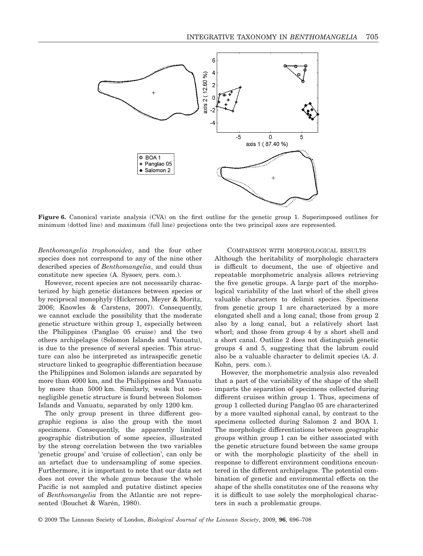

**Figure 6.** Canonical variate analysis (CVA) on the first outline for the genetic group 1. Superimposed outlines for minimum (dotted line) and maximum (full line) projections onto the two principal axes are represented.

*Benthomangelia trophonoidea*, and the four other species does not correspond to any of the nine other described species of *Benthomangelia*, and could thus constitute new species (A. Sysoev, pers. com.).

However, recent species are not necessarily characterized by high genetic distances between species or by reciprocal monophyly (Hickerson, Meyer & Moritz, 2006; Knowles & Carstens, 2007). Consequently, we cannot exclude the possibility that the moderate genetic structure within group 1, especially between the Philippines (Panglao 05 cruise) and the two others archipelagos (Solomon Islands and Vanuatu), is due to the presence of several species. This structure can also be interpreted as intraspecific genetic structure linked to geographic differentiation because the Philippines and Solomon islands are separated by more than 4000 km, and the Philippines and Vanuatu by more than 5000 km. Similarly, weak but nonnegligible genetic structure is found between Solomon Islands and Vanuatu, separated by only 1200 km.

The only group present in three different geographic regions is also the group with the most specimens. Consequently, the apparently limited geographic distribution of some species, illustrated by the strong correlation between the two variables 'genetic groups' and 'cruise of collection', can only be an artefact due to undersampling of some species. Furthermore, it is important to note that our data set does not cover the whole genus because the whole Pacific is not sampled and putative distinct species of *Benthomangelia* from the Atlantic are not represented (Bouchet & Warén, 1980).

# COMPARISON WITH MORPHOLOGICAL RESULTS

Although the heritability of morphologic characters is difficult to document, the use of objective and repeatable morphometric analysis allows retrieving the five genetic groups. A large part of the morphological variability of the last whorl of the shell gives valuable characters to delimit species. Specimens from genetic group 1 are characterized by a more elongated shell and a long canal; those from group 2 also by a long canal, but a relatively short last whorl; and those from group 4 by a short shell and a short canal. Outline 2 does not distinguish genetic groups 4 and 5, suggesting that the labrum could also be a valuable character to delimit species (A. J. Kohn, pers. com.).

However, the morphometric analysis also revealed that a part of the variability of the shape of the shell imparts the separation of specimens collected during different cruises within group 1. Thus, specimens of group 1 collected during Panglao 05 are characterized by a more vaulted siphonal canal, by contrast to the specimens collected during Salomon 2 and BOA 1. The morphologic differentiations between geographic groups within group 1 can be either associated with the genetic structure found between the same groups or with the morphologic plasticity of the shell in response to different environment conditions encountered in the different archipelagos. The potential combination of genetic and environmental effects on the shape of the shells constitutes one of the reasons why it is difficult to use solely the morphological characters in such a problematic groups.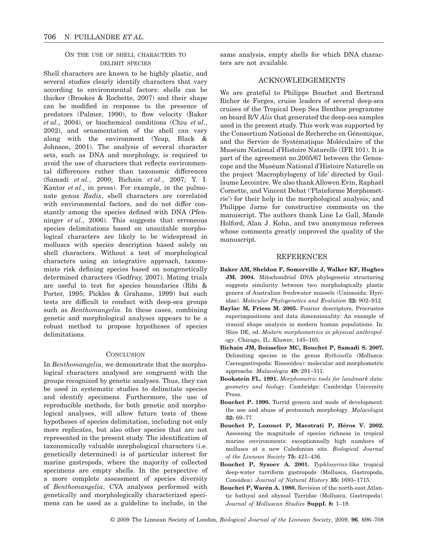# ON THE USE OF SHELL CHARACTERS TO DELIMIT SPECIES

Shell characters are known to be highly plastic, and several studies clearly identify characters that vary according to environmental factors: shells can be thicker (Brookes & Rochette, 2007) and their shape can be modified in response to the presence of predators (Palmer, 1990), to flow velocity (Baker *et al.*, 2004), or biochemical conditions (Chiu *et al.*, 2002), and ornamentation of the shell can vary along with the environment (Yeap, Black & Johnson, 2001). The analysis of several character sets, such as DNA and morphology, is required to avoid the use of characters that reflects environmental differences rather than taxonomic differences (Samadi *et al.*, 2000; Bichain *et al.*, 2007; Y. I. Kantor *et al.*, in press). For example, in the pulmonate genus *Radix*, shell characters are correlated with environmental factors, and do not differ constantly among the species defined with DNA (Pfenninger *et al.*, 2006). This suggests that erroneous species delimitations based on unsuitable morphological characters are likely to be widespread in molluscs with species description based solely on shell characters. Without a test of morphological characters using an integrative approach, taxonomists risk defining species based on nongenetically determined characters (Godfray, 2007). Mating trials are useful to test for species boundaries (Ribi & Porter, 1995; Pickles & Grahame, 1999) but such tests are difficult to conduct with deep-sea groups such as *Benthomangelia*. In these cases, combining genetic and morphological analyses appears to be a robust method to propose hypotheses of species delimitations.

## **CONCLUSION**

In *Benthomangelia*, we demonstrate that the morphological characters analysed are congruent with the groups recognized by genetic analyses. Thus, they can be used in systematic studies to delimitate species and identify specimens. Furthermore, the use of reproducible methods, for both genetic and morphological analyses, will allow future tests of these hypotheses of species delimitation, including not only more replicates, but also other species that are not represented in the present study. The identification of taxonomically valuable morphological characters (i.e. genetically determined) is of particular interest for marine gastropods, where the majority of collected specimens are empty shells. In the perspective of a more complete assessment of species diversity of *Benthomangelia*, CVA analyses performed with genetically and morphologically characterized specimens can be used as a guideline to include, in the

same analysis, empty shells for which DNA characters are not available.

# ACKNOWLEDGEMENTS

We are grateful to Philippe Bouchet and Bertrand Richer de Forges, cruise leaders of several deep-sea cruises of the Tropical Deep Sea Benthos programme on board R/V *Alis* that generated the deep-sea samples used in the present study. This work was supported by the Consortium National de Recherche en Génomique, and the Service de Systématique Moléculaire of the Muséum National d'Histoire Naturelle (IFR 101). It is part of the agreement no.2005/67 between the Genoscope and the Muséum National d'Histoire Naturelle on the project 'Macrophylogeny of life' directed by Guillaume Lecointre. We also thank Allowen Evin, Raphaël Cornette, and Vincent Debat ('Plateforme Morphométrie') for their help in the morphological analysis; and Philippe Jarne for constructive comments on the manuscript. The authors thank Line Le Gall, Mandë Holford, Alan J. Kohn, and two anonymous referees whose comments greatly improved the quality of the manuscript.

## REFERENCES

- **Baker AM, Sheldon F, Somerville J, Walker KF, Hughes JM. 2004.** Mitochondrial DNA phylogenetic structuring suggests similarity between two morphologically plastic genera of Australian freshwater mussels (Unionoida: Hyriidae). *Molecular Phylogenetics and Evolution* **32:** 902–912.
- **Baylac M, Friess M. 2005.** Fourier descriptors, Procrustes superimpositions and data dimensionality: An example of cranial shape analysis in modern human populations. In: Slice DE, ed. *Modern morphometrics in physical anthropology*. Chicago, IL: Kluwer, 145–165.
- **Bichain JM, Boisselier MC, Bouchet P, Samadi S. 2007.** Delimiting species in the genus *Bythinella* (Mollusca: Caenogastropoda: Rissooidea): molecular and morphometric approachs. *Malacologia* **49:** 291–311.
- **Bookstein FL. 1991.** *Morphometric tools for landmark data: geometry and biology*. Cambridge: Cambridge University Press.
- **Bouchet P. 1990.** Turrid genera and mode of development: the use and abuse of protoconch morphology. *Malacologia* **32:** 69–77.
- **Bouchet P, Lozouet P, Maestrati P, Héros V. 2002.** Assessing the magnitude of species richness in tropical marine environments: exceptionnally high numbers of molluscs at a new Caledonian site. *Biological Journal of the Linnean Society* **75:** 421–436.
- **Bouchet P, Sysoev A. 2001.** *Typhlosyrinx*-like tropical deep-water turriform gastropods (Mollusca, Gastropoda, Conoidea). *Journal of Natural History* **35:** 1693–1715.
- **Bouchet P, Warén A. 1980.** Revision of the north-east Atlantic bathyal and abyssal Turridae (Mollusca, Gastropoda). *Journal of Molluscan Studies* **SuppI. 8:** 1–19.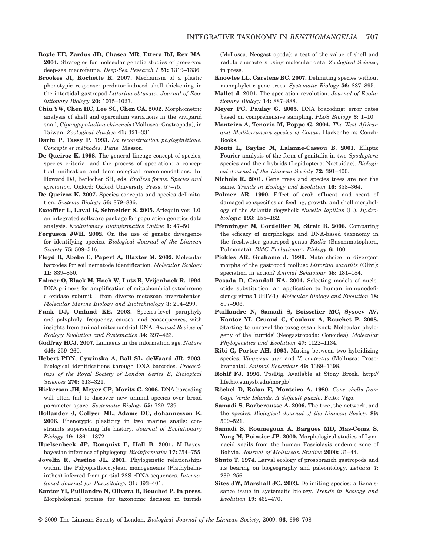- **Boyle EE, Zardus JD, Chasea MR, Ettera RJ, Rex MA. 2004.** Strategies for molecular genetic studies of preserved deep-sea macrofauna. *Deep-Sea Research I* **51:** 1319–1336.
- **Brookes JI, Rochette R. 2007.** Mechanism of a plastic phenotypic response: predator-induced shell thickening in the intertidal gastropod *Littorina obtusata*. *Journal of Evolutionary Biology* **20:** 1015–1027.
- **Chiu YW, Chen HC, Lee SC, Chen CA. 2002.** Morphometric analysis of shell and operculum variations in the viviparid snail, *Cipangopaludina chinensis* (Mollusca: Gastropoda), in Taiwan. *Zoological Studies* **41:** 321–331.
- **Darlu P, Tassy P. 1993.** *La reconstruction phylogénétique. Concepts et méthodes*. Paris: Masson.
- **De Queiroz K. 1998.** The general lineage concept of species, species criteria, and the process of speciation: a conceptual unification and terminological recommendations. In: Howard DJ, Berlocher SH, eds. *Endless forms. Species and speciation*. Oxford: Oxford University Press, 57–75.
- **De Queiroz K. 2007.** Species concepts and species delimitation. *Systems Biology* **56:** 879–886.
- **Excoffier L, Laval G, Schneider S. 2005.** Arlequin ver. 3.0: an integrated software package for population genetics data analysis. *Evolutionary Bioinformatics Online* **1:** 47–50.
- **Ferguson JWH. 2002.** On the use of genetic divergence for identifying species. *Biological Journal of the Linnean Society* **75:** 509–516.
- **Floyd R, Abebe E, Papert A, Blaxter M. 2002.** Molecular barcodes for soil nematode identification. *Molecular Ecology* **11:** 839–850.
- **Folmer O, Black M, Hoeh W, Lutz R, Vrijenhoek R. 1994.** DNA primers for amplification of mitochondrial cytochrome c oxidase subunit I from diverse metazoan invertebrates. *Molecular Marine Biology and Biotechnology* **3:** 294–299.
- **Funk DJ, Omland KE. 2003.** Species-level paraphyly and polyphyly: frequency, causes, and consequences, with insights from animal mitochondrial DNA. *Annual Review of Ecology Evolution and Systematics* **34:** 397–423.
- **Godfray HCJ. 2007.** Linnaeus in the information age. *Nature* **446:** 259–260.
- **Hebert PDN, Cywinska A, Ball SL, deWaard JR. 2003.** Biological identifications through DNA barcodes. *Proceedings of the Royal Society of London Series B, Biological Sciences* **270:** 313–321.
- **Hickerson JH, Meyer CP, Moritz C. 2006.** DNA barcoding will often fail to discover new animal species over broad parameter space. *Systematic Biology* **55:** 729–739.
- **Hollander J, Collyer ML, Adams DC, Johannesson K. 2006.** Phenotypic plasticity in two marine snails: constraints superseding life history. *Journal of Evolutionary Biology* **19:** 1861–1872.
- **Huelsenbeck JP, Ronquist F, Hall B. 2001.** MrBayes: bayesian inference of phylogeny. *Bioinformatics* **17:** 754–755.
- **Jovelin R, Justine JL. 2001.** Phylogenetic relationships within the Polyopisthocotylean monogeneans (Plathyhelminthes) inferred from partial 28S rDNA sequences. *International Journal for Parasitology* **31:** 393–401.
- **Kantor YI, Puillandre N, Olivera B, Bouchet P. In press.** Morphological proxies for taxonomic decision in turrids

(Mollusca, Neogastropoda): a test of the value of shell and radula characters using molecular data. *Zoological Science*, in press.

- **Knowles LL, Carstens BC. 2007.** Delimiting species without monophyletic gene trees. *Systematic Biology* **56:** 887–895.
- **Mallet J. 2001.** The speciation revolution. *Journal of Evolutionary Biology* **14:** 887–888.
- **Meyer PC, Paulay G. 2005.** DNA bracoding: error rates based on comprehensive sampling. *PLoS Biology* **3:** 1–10.
- **Monteiro A, Tenorio M, Poppe G. 2004.** *The West African and Mediterranean species of Conus*. Hackenheim: Conch-Books.
- **Monti L, Baylac M, Lalanne-Cassou B. 2001.** Elliptic Fourier analysis of the form of genitalia in two *Spodoptera* species and their hybrids (Lepidoptera: Noctuidae). *Biological Journal of the Linnean Society* **72:** 391–400.
- **Nichols R. 2001.** Gene trees and species trees are not the same. *Trends in Ecology and Evolution* **16:** 358–364.
- Palmer AR. 1990. Effect of crab effluent and scent of damaged conspecifics on feeding, growth, and shell morphology of the Atlantic dogwhelk *Nucella lapillus* (L.). *Hydrobiologia* **193:** 155–182.
- **Pfenninger M, Cordellier M, Streit B. 2006.** Comparing the efficacy of morphologic and DNA-based taxonomy in the freshwater gastropod genus *Radix* (Basommatophora, Pulmonata). *BMC Evolutionary Biology* **6:** 100.
- **Pickles AR, Grahame J. 1999.** Mate choice in divergent morphs of the gastropod mollusc *Littorina saxatilis* (Olivi): speciation in action? *Animal Behaviour* **58:** 181–184.
- **Posada D, Crandall KA. 2001.** Selecting models of nucleotide substitution: an application to human immunodeficiency virus 1 (HIV-1). *Molecular Biology and Evolution* **18:** 897–906.
- **Puillandre N, Samadi S, Boisselier MC, Sysoev AV, Kantor YI, Cruaud C, Couloux A, Bouchet P. 2008.** Starting to unravel the toxoglossan knot: Molecular phylogeny of the 'turrids' (Neogastropoda: Conoidea). *Molecular Phylogenetics and Evolution* **47:** 1122–1134.
- **Ribi G, Porter AH. 1995.** Mating between two hybridizing species, *Viviparus ater* and *V. contectus* (Mollusca: Prosobranchia). *Animal Behaviour* **49:** 1389–1398.
- **Rohlf FJ. 1996.** TpsDig. Available at Stony Brook. [http](http://life.bio.sunysb.edu/morph):// [life.bio.sunysb.edu/morph](http://life.bio.sunysb.edu/morph)/.
- **Röckel D, Rolan E, Monteiro A. 1980.** *Cone shells from Cape Verde Islands. A difficult puzzle*. Feito: Vigo.
- **Samadi S, Barberousse A. 2006.** The tree, the network, and the species. *Biological Journal of the Linnean Society* **89:** 509–521.
- **Samadi S, Roumegoux A, Bargues MD, Mas-Coma S, Yong M, Pointier JP. 2000.** Morphological studies of Lymnaeid snails from the human Fasciolasis endemic zone of Bolivia. *Journal of Molluscan Studies* **2000:** 31–44.
- **Shuto T. 1974.** Larval ecology of prosobranch gastropods and its bearing on biogeography and paleontology. *Lethaia* **7:** 239–256.
- **Sites JW, Marshall JC. 2003.** Delimiting species: a Renaissance issue in systematic biology. *Trends in Ecology and Evolution* **19:** 462–470.